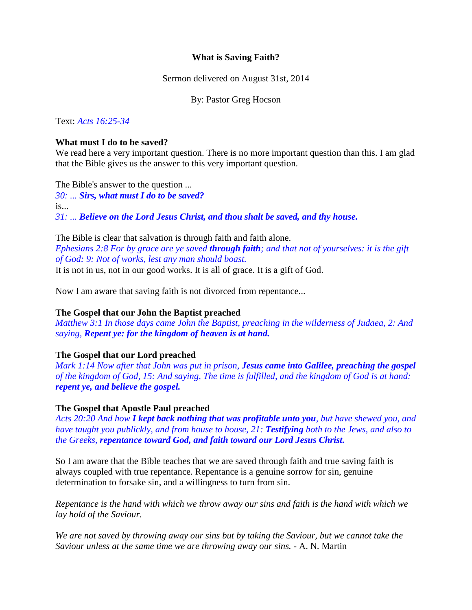## **What is Saving Faith?**

Sermon delivered on August 31st, 2014

By: Pastor Greg Hocson

Text: *Acts 16:25-34*

### **What must I do to be saved?**

We read here a very important question. There is no more important question than this. I am glad that the Bible gives us the answer to this very important question.

The Bible's answer to the question ... *30: ... Sirs, what must I do to be saved?* is... *31: ... Believe on the Lord Jesus Christ, and thou shalt be saved, and thy house.*

The Bible is clear that salvation is through faith and faith alone. *Ephesians 2:8 For by grace are ye saved through faith; and that not of yourselves: it is the gift of God: 9: Not of works, lest any man should boast.* It is not in us, not in our good works. It is all of grace. It is a gift of God.

Now I am aware that saving faith is not divorced from repentance...

### **The Gospel that our John the Baptist preached**

*Matthew 3:1 In those days came John the Baptist, preaching in the wilderness of Judaea, 2: And saying, Repent ye: for the kingdom of heaven is at hand.*

# **The Gospel that our Lord preached**

*Mark 1:14 Now after that John was put in prison, Jesus came into Galilee, preaching the gospel of the kingdom of God, 15: And saying, The time is fulfilled, and the kingdom of God is at hand: repent ye, and believe the gospel.*

# **The Gospel that Apostle Paul preached**

*Acts 20:20 And how I kept back nothing that was profitable unto you, but have shewed you, and have taught you publickly, and from house to house, 21: Testifying both to the Jews, and also to the Greeks, repentance toward God, and faith toward our Lord Jesus Christ.*

So I am aware that the Bible teaches that we are saved through faith and true saving faith is always coupled with true repentance. Repentance is a genuine sorrow for sin, genuine determination to forsake sin, and a willingness to turn from sin.

*Repentance is the hand with which we throw away our sins and faith is the hand with which we lay hold of the Saviour.*

*We are not saved by throwing away our sins but by taking the Saviour, but we cannot take the Saviour unless at the same time we are throwing away our sins.* - A. N. Martin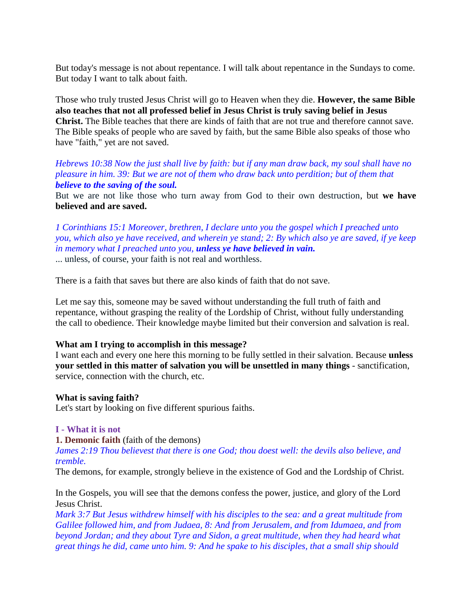But today's message is not about repentance. I will talk about repentance in the Sundays to come. But today I want to talk about faith.

Those who truly trusted Jesus Christ will go to Heaven when they die. **However, the same Bible also teaches that not all professed belief in Jesus Christ is truly saving belief in Jesus Christ.** The Bible teaches that there are kinds of faith that are not true and therefore cannot save. The Bible speaks of people who are saved by faith, but the same Bible also speaks of those who have "faith," yet are not saved.

*Hebrews 10:38 Now the just shall live by faith: but if any man draw back, my soul shall have no pleasure in him. 39: But we are not of them who draw back unto perdition; but of them that believe to the saving of the soul.*

But we are not like those who turn away from God to their own destruction, but **we have believed and are saved.**

*1 Corinthians 15:1 Moreover, brethren, I declare unto you the gospel which I preached unto you, which also ye have received, and wherein ye stand; 2: By which also ye are saved, if ye keep in memory what I preached unto you, unless ye have believed in vain.*

... unless, of course, your faith is not real and worthless.

There is a faith that saves but there are also kinds of faith that do not save.

Let me say this, someone may be saved without understanding the full truth of faith and repentance, without grasping the reality of the Lordship of Christ, without fully understanding the call to obedience. Their knowledge maybe limited but their conversion and salvation is real.

### **What am I trying to accomplish in this message?**

I want each and every one here this morning to be fully settled in their salvation. Because **unless your settled in this matter of salvation you will be unsettled in many things** - sanctification, service, connection with the church, etc.

#### **What is saving faith?**

Let's start by looking on five different spurious faiths.

#### **I - What it is not**

#### **1. Demonic faith** (faith of the demons)

*James 2:19 Thou believest that there is one God; thou doest well: the devils also believe, and tremble.*

The demons, for example, strongly believe in the existence of God and the Lordship of Christ.

In the Gospels, you will see that the demons confess the power, justice, and glory of the Lord Jesus Christ.

*Mark 3:7 But Jesus withdrew himself with his disciples to the sea: and a great multitude from Galilee followed him, and from Judaea, 8: And from Jerusalem, and from Idumaea, and from beyond Jordan; and they about Tyre and Sidon, a great multitude, when they had heard what great things he did, came unto him. 9: And he spake to his disciples, that a small ship should*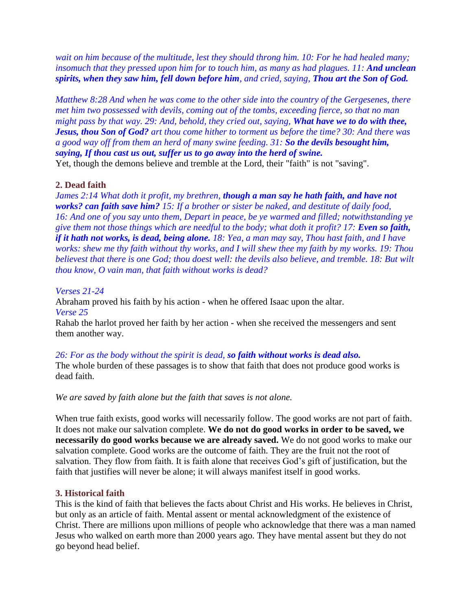*wait on him because of the multitude, lest they should throng him. 10: For he had healed many; insomuch that they pressed upon him for to touch him, as many as had plagues. 11: And unclean spirits, when they saw him, fell down before him, and cried, saying, Thou art the Son of God.*

*Matthew 8:28 And when he was come to the other side into the country of the Gergesenes, there met him two possessed with devils, coming out of the tombs, exceeding fierce, so that no man might pass by that way. 29: And, behold, they cried out, saying, What have we to do with thee, Jesus, thou Son of God? art thou come hither to torment us before the time? 30: And there was a good way off from them an herd of many swine feeding. 31: So the devils besought him, saying, If thou cast us out, suffer us to go away into the herd of swine.*

Yet, though the demons believe and tremble at the Lord, their "faith" is not "saving".

# **2. Dead faith**

*James 2:14 What doth it profit, my brethren, though a man say he hath faith, and have not works? can faith save him? 15: If a brother or sister be naked, and destitute of daily food, 16: And one of you say unto them, Depart in peace, be ye warmed and filled; notwithstanding ye give them not those things which are needful to the body; what doth it profit? 17: Even so faith, if it hath not works, is dead, being alone. 18: Yea, a man may say, Thou hast faith, and I have works: shew me thy faith without thy works, and I will shew thee my faith by my works. 19: Thou believest that there is one God; thou doest well: the devils also believe, and tremble. 18: But wilt thou know, O vain man, that faith without works is dead?*

## *Verses 21-24*

Abraham proved his faith by his action - when he offered Isaac upon the altar. *Verse 25*

Rahab the harlot proved her faith by her action - when she received the messengers and sent them another way.

*26: For as the body without the spirit is dead, so faith without works is dead also.*

The whole burden of these passages is to show that faith that does not produce good works is dead faith.

*We are saved by faith alone but the faith that saves is not alone.*

When true faith exists, good works will necessarily follow. The good works are not part of faith. It does not make our salvation complete. **We do not do good works in order to be saved, we necessarily do good works because we are already saved.** We do not good works to make our salvation complete. Good works are the outcome of faith. They are the fruit not the root of salvation. They flow from faith. It is faith alone that receives God's gift of justification, but the faith that justifies will never be alone; it will always manifest itself in good works.

### **3. Historical faith**

This is the kind of faith that believes the facts about Christ and His works. He believes in Christ, but only as an article of faith. Mental assent or mental acknowledgment of the existence of Christ. There are millions upon millions of people who acknowledge that there was a man named Jesus who walked on earth more than 2000 years ago. They have mental assent but they do not go beyond head belief.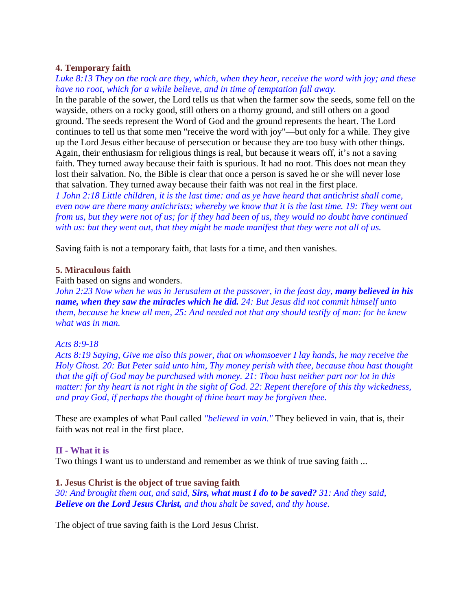## **4. Temporary faith**

*Luke 8:13 They on the rock are they, which, when they hear, receive the word with joy; and these have no root, which for a while believe, and in time of temptation fall away.*

In the parable of the sower, the Lord tells us that when the farmer sow the seeds, some fell on the wayside, others on a rocky good, still others on a thorny ground, and still others on a good ground. The seeds represent the Word of God and the ground represents the heart. The Lord continues to tell us that some men "receive the word with joy"—but only for a while. They give up the Lord Jesus either because of persecution or because they are too busy with other things. Again, their enthusiasm for religious things is real, but because it wears off, it's not a saving faith. They turned away because their faith is spurious. It had no root. This does not mean they lost their salvation. No, the Bible is clear that once a person is saved he or she will never lose that salvation. They turned away because their faith was not real in the first place.

*1 John 2:18 Little children, it is the last time: and as ye have heard that antichrist shall come, even now are there many antichrists; whereby we know that it is the last time. 19: They went out from us, but they were not of us; for if they had been of us, they would no doubt have continued with us: but they went out, that they might be made manifest that they were not all of us.*

Saving faith is not a temporary faith, that lasts for a time, and then vanishes.

### **5. Miraculous faith**

Faith based on signs and wonders.

*John 2:23 Now when he was in Jerusalem at the passover, in the feast day, many believed in his name, when they saw the miracles which he did. 24: But Jesus did not commit himself unto them, because he knew all men, 25: And needed not that any should testify of man: for he knew what was in man.*

#### *Acts 8:9-18*

*Acts 8:19 Saying, Give me also this power, that on whomsoever I lay hands, he may receive the Holy Ghost. 20: But Peter said unto him, Thy money perish with thee, because thou hast thought that the gift of God may be purchased with money. 21: Thou hast neither part nor lot in this matter: for thy heart is not right in the sight of God. 22: Repent therefore of this thy wickedness, and pray God, if perhaps the thought of thine heart may be forgiven thee.*

These are examples of what Paul called *"believed in vain."* They believed in vain, that is, their faith was not real in the first place.

#### **II - What it is**

Two things I want us to understand and remember as we think of true saving faith ...

#### **1. Jesus Christ is the object of true saving faith**

*30: And brought them out, and said, Sirs, what must I do to be saved? 31: And they said, Believe on the Lord Jesus Christ, and thou shalt be saved, and thy house.*

The object of true saving faith is the Lord Jesus Christ.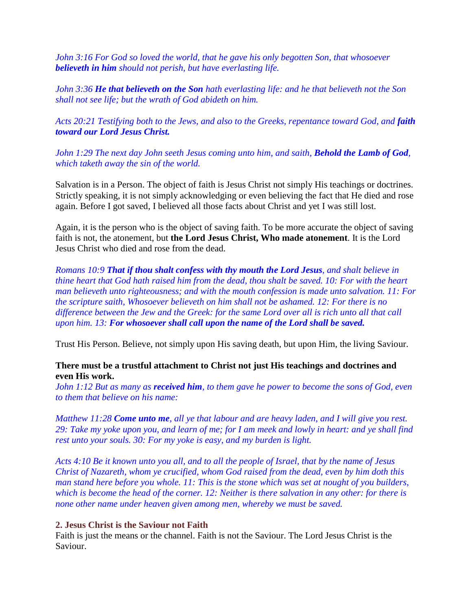*John 3:16 For God so loved the world, that he gave his only begotten Son, that whosoever believeth in him should not perish, but have everlasting life.*

*John 3:36 He that believeth on the Son hath everlasting life: and he that believeth not the Son shall not see life; but the wrath of God abideth on him.*

Acts 20:21 Testifying both to the Jews, and also to the Greeks, repentance toward God, and **faith** *toward our Lord Jesus Christ.*

*John 1:29 The next day John seeth Jesus coming unto him, and saith, Behold the Lamb of God, which taketh away the sin of the world.*

Salvation is in a Person. The object of faith is Jesus Christ not simply His teachings or doctrines. Strictly speaking, it is not simply acknowledging or even believing the fact that He died and rose again. Before I got saved, I believed all those facts about Christ and yet I was still lost.

Again, it is the person who is the object of saving faith. To be more accurate the object of saving faith is not, the atonement, but **the Lord Jesus Christ, Who made atonement**. It is the Lord Jesus Christ who died and rose from the dead.

*Romans 10:9 That if thou shalt confess with thy mouth the Lord Jesus, and shalt believe in thine heart that God hath raised him from the dead, thou shalt be saved. 10: For with the heart man believeth unto righteousness; and with the mouth confession is made unto salvation. 11: For the scripture saith, Whosoever believeth on him shall not be ashamed. 12: For there is no difference between the Jew and the Greek: for the same Lord over all is rich unto all that call upon him. 13: For whosoever shall call upon the name of the Lord shall be saved.*

Trust His Person. Believe, not simply upon His saving death, but upon Him, the living Saviour.

# **There must be a trustful attachment to Christ not just His teachings and doctrines and even His work.**

*John 1:12 But as many as received him, to them gave he power to become the sons of God, even to them that believe on his name:*

*Matthew 11:28 Come unto me, all ye that labour and are heavy laden, and I will give you rest. 29: Take my yoke upon you, and learn of me; for I am meek and lowly in heart: and ye shall find rest unto your souls. 30: For my yoke is easy, and my burden is light.*

*Acts 4:10 Be it known unto you all, and to all the people of Israel, that by the name of Jesus Christ of Nazareth, whom ye crucified, whom God raised from the dead, even by him doth this man stand here before you whole. 11: This is the stone which was set at nought of you builders, which is become the head of the corner. 12: Neither is there salvation in any other: for there is none other name under heaven given among men, whereby we must be saved.*

### **2. Jesus Christ is the Saviour not Faith**

Faith is just the means or the channel. Faith is not the Saviour. The Lord Jesus Christ is the Saviour.